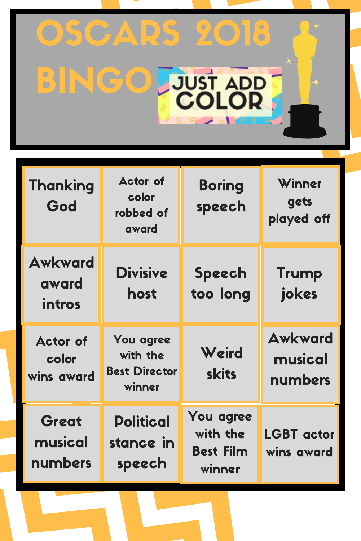## OSCARS 2018 **BINGO FJUST ADDET**

T

| <b>Thanking</b><br>God                 | <b>Actor of</b><br>color<br>robbed of<br>award          | <b>Boring</b><br>speech                             | Winner<br>gets<br>played off         |
|----------------------------------------|---------------------------------------------------------|-----------------------------------------------------|--------------------------------------|
| <b>Awkward</b><br>award<br>intros      | <b>Divisive</b><br>host                                 | <b>Speech</b><br>too long                           | <b>Trump</b><br>jokes                |
| <b>Actor of</b><br>color<br>wins award | You agree<br>with the<br><b>Best Director</b><br>winner | Weird<br><b>skits</b>                               | <b>Awkward</b><br>musical<br>numbers |
| Great<br>musical<br>numbers            | <b>Political</b><br>stance in<br>speech                 | You agree<br>with the<br><b>Best Film</b><br>winner | <b>LGBT</b> actor<br>wins award      |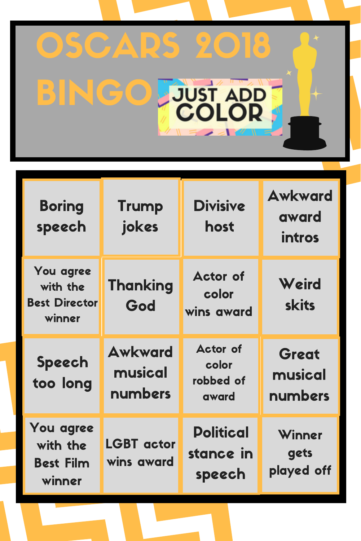## OSCARS 2018 **BINGO FJUST ADDE** T

| <b>Boring</b><br>speech                                 | <b>Trump</b><br>jokes                | <b>Divisive</b><br>host                        | <b>Awkward</b><br>award<br>intros |
|---------------------------------------------------------|--------------------------------------|------------------------------------------------|-----------------------------------|
| You agree<br>with the<br><b>Best Director</b><br>winner | <b>Thanking</b><br>God               | <b>Actor of</b><br>color<br>wins award         | Weird<br><b>skits</b>             |
| <b>Speech</b><br>too long                               | <b>Awkward</b><br>musical<br>numbers | <b>Actor of</b><br>color<br>robbed of<br>award | Great<br>musical<br>numbers       |
| You agree<br>with the<br><b>Best Film</b><br>winner     | LGBT actor<br>wins award             | <b>Political</b><br>stance in<br>speech        | Winner<br>gets<br>played off      |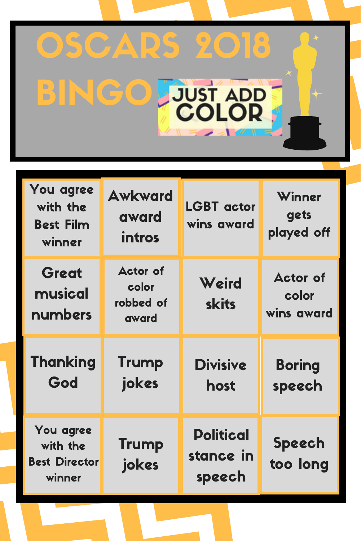## OSCARS 2018 **BINGO JUST ADDE** T

| You agree<br>with the<br><b>Best Film</b><br>winner     | <b>Awkward</b><br>award<br>intros              | <b>LGBT</b> actor<br>wins award | Winner<br>gets<br>played off           |
|---------------------------------------------------------|------------------------------------------------|---------------------------------|----------------------------------------|
| Great<br>musical<br>numbers                             | <b>Actor of</b><br>color<br>robbed of<br>award | Weird<br><b>skits</b>           | <b>Actor of</b><br>color<br>wins award |
| <b>Thanking</b><br>God                                  | <b>Trump</b><br>jokes                          | <b>Divisive</b><br>host         | <b>Boring</b><br>speech                |
| You agree<br>with the<br><b>Best Director</b><br>winner | Trump<br>jokes                                 | <b>Political</b><br>stance in   | Speech<br>too long                     |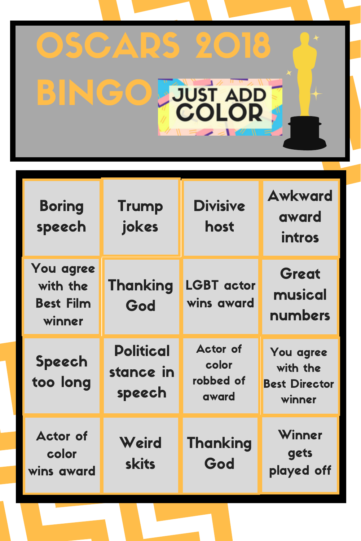## OSCARS 2018 **BINGO JUST ADDE** T

| <b>Boring</b><br>speech                             | <b>Trump</b><br>jokes                   | <b>Divisive</b><br>host                        | <b>Awkward</b><br>award<br>intros                       |
|-----------------------------------------------------|-----------------------------------------|------------------------------------------------|---------------------------------------------------------|
| You agree<br>with the<br><b>Best Film</b><br>winner | <b>Thanking</b><br>God                  | <b>LGBT</b> actor<br>wins award                | Great<br>musical<br>numbers                             |
| <b>Speech</b><br>too long                           | <b>Political</b><br>stance in<br>speech | <b>Actor of</b><br>color<br>robbed of<br>award | You agree<br>with the<br><b>Best Director</b><br>winner |
| <b>Actor of</b><br>color<br>wins award              | Weird<br><b>skits</b>                   | <b>Thanking</b><br>God                         | Winner<br>gets<br>played off                            |